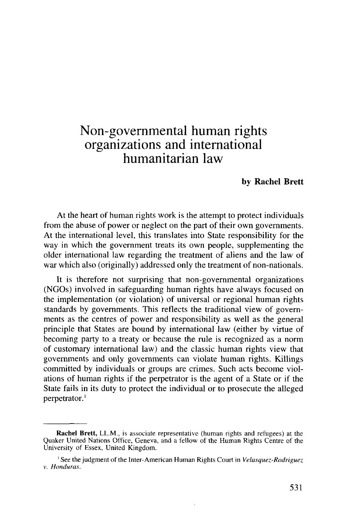# Non-govemmental human rights organizations and international humanitarian law

#### **by Rachel Brett**

At the heart of human rights work is the attempt to protect individuals from the abuse of power or neglect on the part of their own governments. At the international level, this translates into State responsibility for the way in which the government treats its own people, supplementing the older international law regarding the treatment of aliens and the law of war which also (originally) addressed only the treatment of non-nationals.

It is therefore not surprising that non-governmental organizations (NGOs) involved in safeguarding human rights have always focused on the implementation (or violation) of universal or regional human rights standards by governments. This reflects the traditional view of governments as the centres of power and responsibility as well as the general principle that States are bound by international law (either by virtue of becoming party to a treaty or because the rule is recognized as a norm of customary international law) and the classic human rights view that governments and only governments can violate human rights. Killings committed by individuals or groups are crimes. Such acts become violations of human rights if the perpetrator is the agent of a State or if the State fails in its duty to protect the individual or to prosecute the alleged perpetrator.<sup>1</sup>

**Rachel Brett,** LL.M., is associate representative (human rights and refugees) at the Quaker United Nations Office, Geneva, and a fellow of the Human Rights Centre of the University of Essex, United Kingdom.

<sup>&</sup>lt;sup>1</sup> See the judgment of the Inter-American Human Rights Court in *Velasquez-Rodriguez v. Honduras.*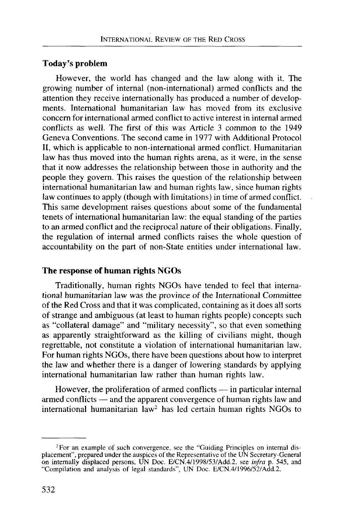# **Today's problem**

However, the world has changed and the law along with it. The growing number of internal (non-international) armed conflicts and the attention they receive internationally has produced a number of developments. International humanitarian law has moved from its exclusive concern for international armed conflict to active interest in internal armed conflicts as well. The first of this was Article 3 common to the 1949 Geneva Conventions. The second came in 1977 with Additional Protocol II, which is applicable to non-international armed conflict. Humanitarian law has thus moved into the human rights arena, as it were, in the sense that it now addresses the relationship between those in authority and the people they govern. This raises the question of the relationship between international humanitarian law and human rights law, since human rights law continues to apply (though with limitations) in time of armed conflict. This same development raises questions about some of the fundamental tenets of international humanitarian law: the equal standing of the parties to an armed conflict and the reciprocal nature of their obligations. Finally, the regulation of internal armed conflicts raises the whole question of accountability on the part of non-State entities under international law.

#### **The response of human rights NGOs**

Traditionally, human rights NGOs have tended to feel that international humanitarian law was the province of the International Committee of the Red Cross and that it was complicated, containing as it does all sorts of strange and ambiguous (at least to human rights people) concepts such as "collateral damage" and "military necessity", so that even something as apparently straightforward as the killing of civilians might, though regrettable, not constitute a violation of international humanitarian law. For human rights NGOs, there have been questions about how to interpret the law and whether there is a danger of lowering standards by applying international humanitarian law rather than human rights law.

However, the proliferation of armed conflicts — in particular internal armed conflicts — and the apparent convergence of human rights law and international humanitarian law<sup>2</sup> has led certain human rights NGOs to

<sup>&</sup>lt;sup>2</sup> For an example of such convergence, see the "Guiding Principles on internal displacement", prepared under the auspices of the Representative of the UN Secretary-General on internally displaced persons, UN Doc. E/CN.4/1998/53/Add.2, see *infra* p. 545, and "Compilation and analysis of legal standards", UN Doc. E/CN.4/1996/52/Add.2.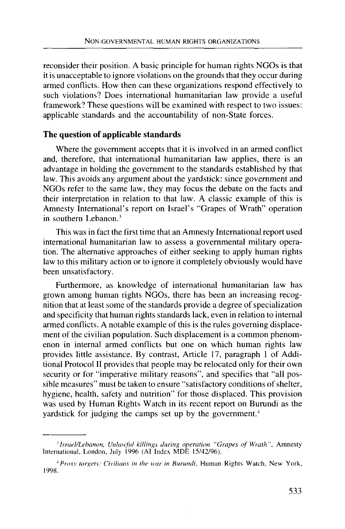reconsider their position. A basic principle for human rights NGOs is that it is unacceptable to ignore violations on the grounds that they occur during armed conflicts. How then can these organizations respond effectively to such violations? Does international humanitarian law provide a useful framework? These questions will be examined with respect to two issues: applicable standards and the accountability of non-State forces.

## **The question of applicable standards**

Where the government accepts that it is involved in an armed conflict and, therefore, that international humanitarian law applies, there is an advantage in holding the government to the standards established by that law. This avoids any argument about the yardstick: since government and NGOs refer to the same law, they may focus the debate on the facts and their interpretation in relation to that law. A classic example of this is Amnesty International's report on Israel's "Grapes of Wrath" operation in southern Lebanon.<sup>3</sup>

This was in fact the first time that an Amnesty International report used international humanitarian law to assess a governmental military operation. The alternative approaches of either seeking to apply human rights law to this military action or to ignore it completely obviously would have been unsatisfactory.

Furthermore, as knowledge of international humanitarian law has grown among human rights NGOs, there has been an increasing recognition that at least some of the standards provide a degree of specialization and specificity that human rights standards lack, even in relation to internal armed conflicts. A notable example of this is the rules governing displacement of the civilian population. Such displacement is a common phenomenon in internal armed conflicts but one on which human rights law provides little assistance. By contrast, Article 17, paragraph 1 of Additional Protocol II provides that people may be relocated only for their own security or for "imperative military reasons", and specifies that "all possible measures" must be taken to ensure "satisfactory conditions of shelter, hygiene, health, safety and nutrition" for those displaced. This provision was used by Human Rights Watch in its recent report on Burundi as the yardstick for judging the camps set up by the government.<sup>4</sup>

*<sup>&#</sup>x27;Israel/Lebanon, Unlawful killings during operation "Grapes of Wrath",* Amnesty International, London, July 1996 (AI Index MDE 15/42/96).

*<sup>\*</sup> Proxy targets: Civilians in the war in Burundi,* Human Rights Watch, New York, 1998.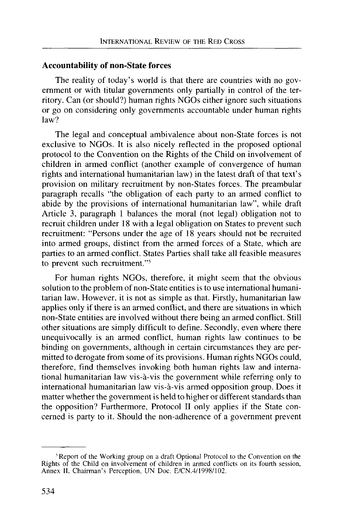#### **Accountability of non-State forces**

The reality of today's world is that there are countries with no government or with titular governments only partially in control of the territory. Can (or should?) human rights NGOs either ignore such situations or go on considering only governments accountable under human rights law?

The legal and conceptual ambivalence about non-State forces is not exclusive to NGOs. It is also nicely reflected in the proposed optional protocol to the Convention on the Rights of the Child on involvement of children in armed conflict (another example of convergence of human rights and international humanitarian law) in the latest draft of that text's provision on military recruitment by non-States forces. The preambular paragraph recalls "the obligation of each party to an armed conflict to abide by the provisions of international humanitarian law", while draft Article 3, paragraph 1 balances the moral (not legal) obligation not to recruit children under 18 with a legal obligation on States to prevent such recruitment: "Persons under the age of 18 years should not be recruited into armed groups, distinct from the armed forces of a State, which are parties to an armed conflict. States Parties shall take all feasible measures to prevent such recruitment."<sup>5</sup>

For human rights NGOs, therefore, it might seem that the obvious solution to the problem of non-State entities is to use international humanitarian law. However, it is not as simple as that. Firstly, humanitarian law applies only if there is an armed conflict, and there are situations in which non-State entities are involved without there being an armed conflict. Still other situations are simply difficult to define. Secondly, even where there unequivocally is an armed conflict, human rights law continues to be binding on governments, although in certain circumstances they are permitted to derogate from some of its provisions. Human rights NGOs could, therefore, find themselves invoking both human rights law and international humanitarian law vis-a-vis the government while referring only to international humanitarian law vis-a-vis armed opposition group. Does it matter whether the government is held to higher or different standards than the opposition? Furthermore, Protocol II only applies if the State concerned is party to it. Should the non-adherence of a government prevent

<sup>&</sup>lt;sup>5</sup> Report of the Working group on a draft Optional Protocol to the Convention on the Rights of the Child on involvement of children in armed conflicts on its fourth session, Annex II, Chairman's Perception, UN Doc. E/CN.4/1998/102.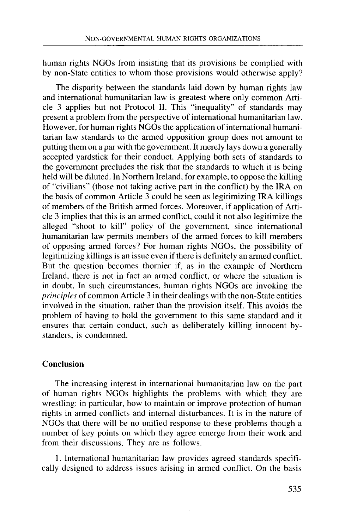human rights NGOs from insisting that its provisions be complied with by non-State entities to whom those provisions would otherwise apply?

The disparity between the standards laid down by human rights law and international humanitarian law is greatest where only common Article 3 applies but not Protocol II. This "inequality" of standards may present a problem from the perspective of international humanitarian law. However, for human rights NGOs the application of international humanitarian law standards to the armed opposition group does not amount to putting them on a par with the government. It merely lays down a generally accepted yardstick for their conduct. Applying both sets of standards to the government precludes the risk that the standards to which it is being held will be diluted. In Northern Ireland, for example, to oppose the killing of "civilians" (those not taking active part in the conflict) by the IRA on the basis of common Article 3 could be seen as legitimizing IRA killings of members of the British armed forces. Moreover, if application of Article 3 implies that this is an armed conflict, could it not also legitimize the alleged "shoot to kill" policy of the government, since international humanitarian law permits members of the armed forces to kill members of opposing armed forces? For human rights NGOs, the possibility of legitimizing killings is an issue even if there is definitely an armed conflict. But the question becomes thornier if, as in the example of Northern Ireland, there is not in fact an armed conflict, or where the situation is in doubt. In such circumstances, human rights NGOs are invoking the *principles* of common Article 3 in their dealings with the non-State entities involved in the situation, rather than the provision itself. This avoids the problem of having to hold the government to this same standard and it ensures that certain conduct, such as deliberately killing innocent bystanders, is condemned.

## **Conclusion**

The increasing interest in international humanitarian law on the part of human rights NGOs highlights the problems with which they are wrestling: in particular, how to maintain or improve protection of human rights in armed conflicts and internal disturbances. It is in the nature of NGOs that there will be no unified response to these problems though a number of key points on which they agree emerge from their work and from their discussions. They are as follows.

1. International humanitarian law provides agreed standards specifically designed to address issues arising in armed conflict. On the basis